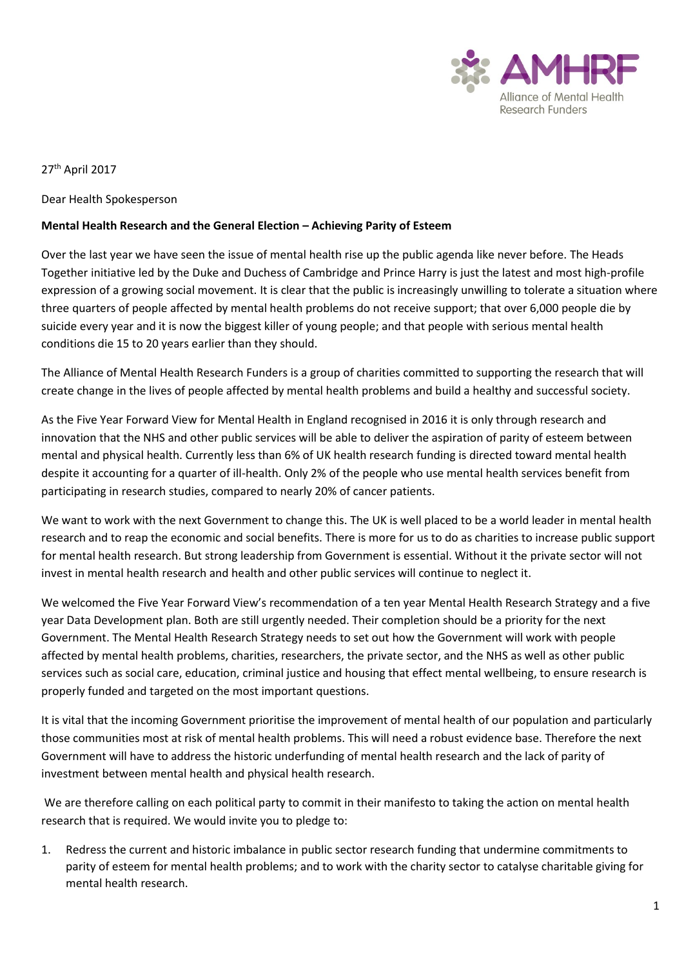

27th April 2017

Dear Health Spokesperson

## **Mental Health Research and the General Election – Achieving Parity of Esteem**

Over the last year we have seen the issue of mental health rise up the public agenda like never before. The Heads Together initiative led by the Duke and Duchess of Cambridge and Prince Harry is just the latest and most high-profile expression of a growing social movement. It is clear that the public is increasingly unwilling to tolerate a situation where three quarters of people affected by mental health problems do not receive support; that over 6,000 people die by suicide every year and it is now the biggest killer of young people; and that people with serious mental health conditions die 15 to 20 years earlier than they should.

The Alliance of Mental Health Research Funders is a group of charities committed to supporting the research that will create change in the lives of people affected by mental health problems and build a healthy and successful society.

As the Five Year Forward View for Mental Health in England recognised in 2016 it is only through research and innovation that the NHS and other public services will be able to deliver the aspiration of parity of esteem between mental and physical health. Currently less than 6% of UK health research funding is directed toward mental health despite it accounting for a quarter of ill-health. Only 2% of the people who use mental health services benefit from participating in research studies, compared to nearly 20% of cancer patients.

We want to work with the next Government to change this. The UK is well placed to be a world leader in mental health research and to reap the economic and social benefits. There is more for us to do as charities to increase public support for mental health research. But strong leadership from Government is essential. Without it the private sector will not invest in mental health research and health and other public services will continue to neglect it.

We welcomed the Five Year Forward View's recommendation of a ten year Mental Health Research Strategy and a five year Data Development plan. Both are still urgently needed. Their completion should be a priority for the next Government. The Mental Health Research Strategy needs to set out how the Government will work with people affected by mental health problems, charities, researchers, the private sector, and the NHS as well as other public services such as social care, education, criminal justice and housing that effect mental wellbeing, to ensure research is properly funded and targeted on the most important questions.

It is vital that the incoming Government prioritise the improvement of mental health of our population and particularly those communities most at risk of mental health problems. This will need a robust evidence base. Therefore the next Government will have to address the historic underfunding of mental health research and the lack of parity of investment between mental health and physical health research.

We are therefore calling on each political party to commit in their manifesto to taking the action on mental health research that is required. We would invite you to pledge to:

1. Redress the current and historic imbalance in public sector research funding that undermine commitments to parity of esteem for mental health problems; and to work with the charity sector to catalyse charitable giving for mental health research.